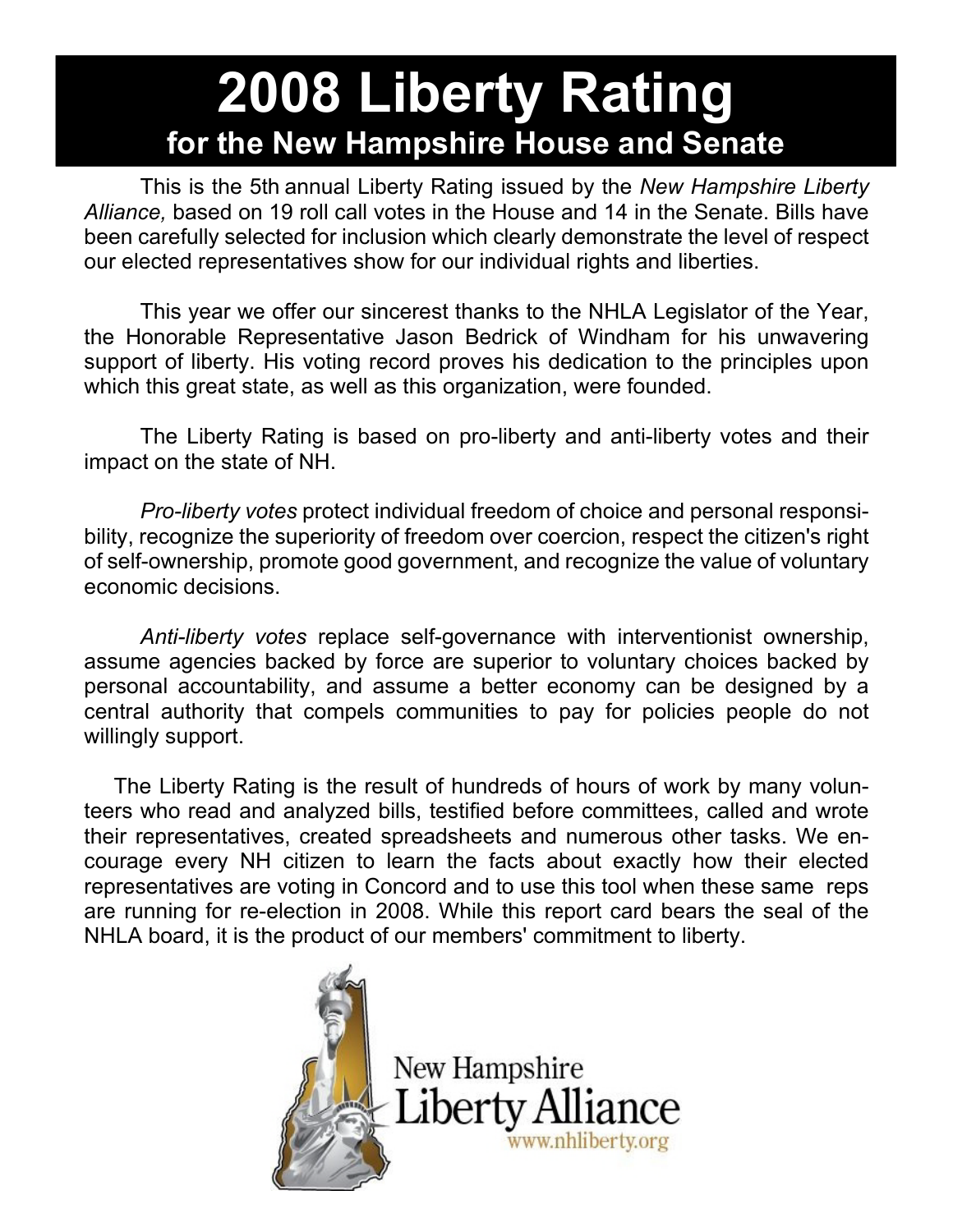# **2008 Liberty Rating for the New Hampshire House and Senate**

 This is the 5th annual Liberty Rating issued by the *New Hampshire Liberty Alliance,* based on 19 roll call votes in the House and 14 in the Senate. Bills have been carefully selected for inclusion which clearly demonstrate the level of respect our elected representatives show for our individual rights and liberties.

 This year we offer our sincerest thanks to the NHLA Legislator of the Year, the Honorable Representative Jason Bedrick of Windham for his unwavering support of liberty. His voting record proves his dedication to the principles upon which this great state, as well as this organization, were founded.

 The Liberty Rating is based on pro-liberty and anti-liberty votes and their impact on the state of NH.

 *Pro-liberty votes* protect individual freedom of choice and personal responsibility, recognize the superiority of freedom over coercion, respect the citizen's right of self-ownership, promote good government, and recognize the value of voluntary economic decisions.

 *Anti-liberty votes* replace self-governance with interventionist ownership, assume agencies backed by force are superior to voluntary choices backed by personal accountability, and assume a better economy can be designed by a central authority that compels communities to pay for policies people do not willingly support.

 The Liberty Rating is the result of hundreds of hours of work by many volunteers who read and analyzed bills, testified before committees, called and wrote their representatives, created spreadsheets and numerous other tasks. We encourage every NH citizen to learn the facts about exactly how their elected representatives are voting in Concord and to use this tool when these same reps are running for re-election in 2008. While this report card bears the seal of the NHLA board, it is the product of our members' commitment to liberty.

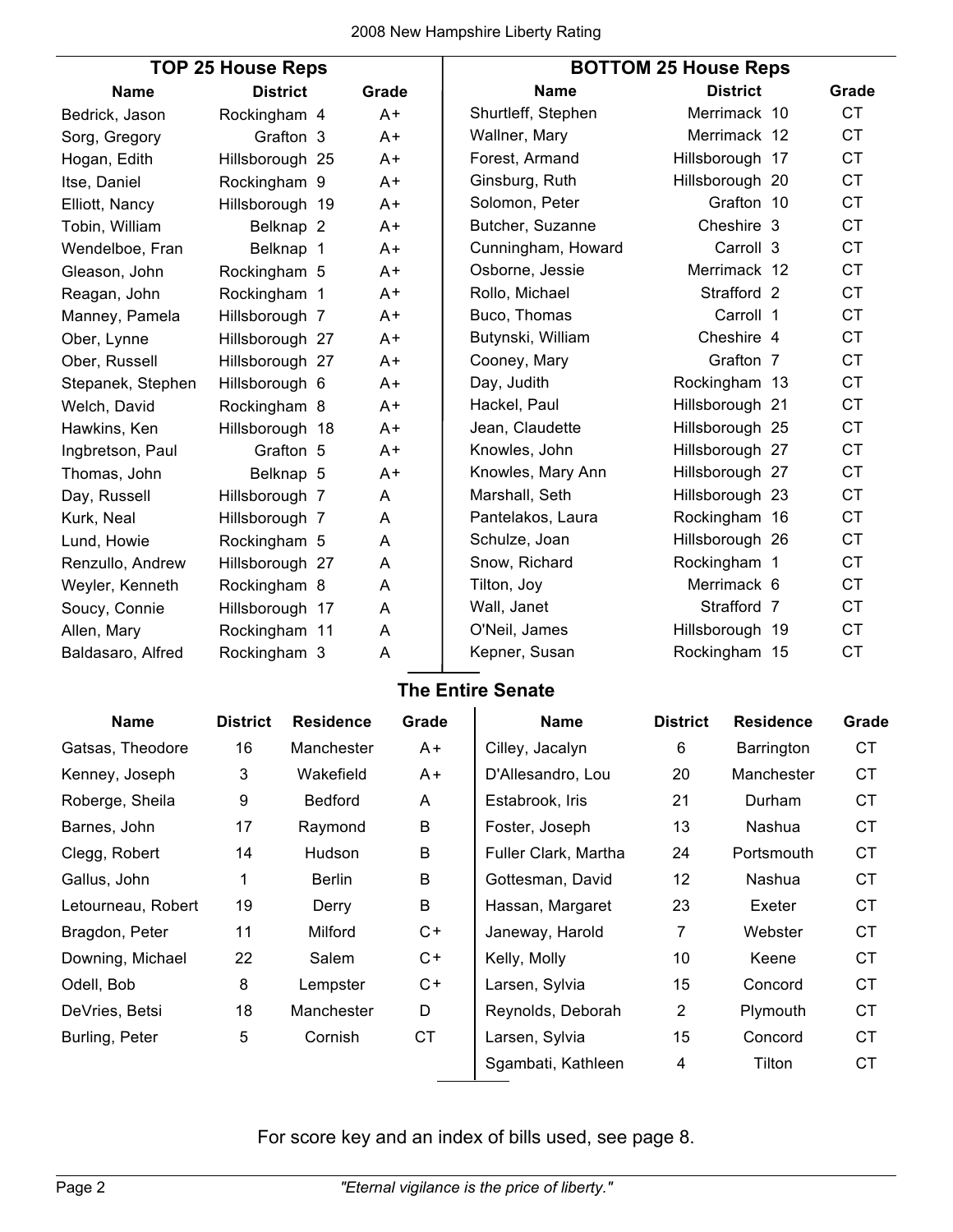| <b>TOP 25 House Reps</b> |                      |  |       | <b>BOTTOM 25 House Reps</b> |                 |           |  |
|--------------------------|----------------------|--|-------|-----------------------------|-----------------|-----------|--|
| <b>Name</b>              | <b>District</b>      |  | Grade | <b>Name</b>                 | <b>District</b> | Grade     |  |
| Bedrick, Jason           | Rockingham 4         |  | $A +$ | Shurtleff, Stephen          | Merrimack 10    | CT.       |  |
| Sorg, Gregory            | Grafton 3            |  | A+    | Wallner, Mary               | Merrimack 12    | <b>CT</b> |  |
| Hogan, Edith             | Hillsborough 25      |  | $A+$  | Forest, Armand              | Hillsborough 17 | <b>CT</b> |  |
| Itse, Daniel             | Rockingham 9         |  | A+    | Ginsburg, Ruth              | Hillsborough 20 | <b>CT</b> |  |
| Elliott, Nancy           | Hillsborough 19      |  | A+    | Solomon, Peter              | Grafton 10      | <b>CT</b> |  |
| Tobin, William           | Belknap <sub>2</sub> |  | A+    | Butcher, Suzanne            | Cheshire 3      | <b>CT</b> |  |
| Wendelboe, Fran          | Belknap 1            |  | A+    | Cunningham, Howard          | Carroll 3       | <b>CT</b> |  |
| Gleason, John            | Rockingham 5         |  | A+    | Osborne, Jessie             | Merrimack 12    | <b>CT</b> |  |
| Reagan, John             | Rockingham 1         |  | A+    | Rollo, Michael              | Strafford 2     | <b>CT</b> |  |
| Manney, Pamela           | Hillsborough 7       |  | $A^+$ | Buco, Thomas                | Carroll 1       | <b>CT</b> |  |
| Ober, Lynne              | Hillsborough 27      |  | A+    | Butynski, William           | Cheshire 4      | <b>CT</b> |  |
| Ober, Russell            | Hillsborough 27      |  | A+    | Cooney, Mary                | Grafton 7       | <b>CT</b> |  |
| Stepanek, Stephen        | Hillsborough 6       |  | A+    | Day, Judith                 | Rockingham 13   | <b>CT</b> |  |
| Welch, David             | Rockingham 8         |  | $A +$ | Hackel, Paul                | Hillsborough 21 | <b>CT</b> |  |
| Hawkins, Ken             | Hillsborough 18      |  | A+    | Jean, Claudette             | Hillsborough 25 | <b>CT</b> |  |
| Ingbretson, Paul         | Grafton 5            |  | A+    | Knowles, John               | Hillsborough 27 | <b>CT</b> |  |
| Thomas, John             | Belknap 5            |  | $A+$  | Knowles, Mary Ann           | Hillsborough 27 | <b>CT</b> |  |
| Day, Russell             | Hillsborough 7       |  | Α     | Marshall, Seth              | Hillsborough 23 | <b>CT</b> |  |
| Kurk, Neal               | Hillsborough 7       |  | A     | Pantelakos, Laura           | Rockingham 16   | <b>CT</b> |  |
| Lund, Howie              | Rockingham 5         |  | A     | Schulze, Joan               | Hillsborough 26 | <b>CT</b> |  |
| Renzullo, Andrew         | Hillsborough 27      |  | A     | Snow, Richard               | Rockingham 1    | <b>CT</b> |  |
| Weyler, Kenneth          | Rockingham 8         |  | Α     | Tilton, Joy                 | Merrimack 6     | <b>CT</b> |  |
| Soucy, Connie            | Hillsborough 17      |  | A     | Wall, Janet                 | Strafford 7     | <b>CT</b> |  |
| Allen, Mary              | Rockingham 11        |  | A     | O'Neil, James               | Hillsborough 19 | <b>CT</b> |  |
| Baldasaro, Alfred        | Rockingham 3         |  | Α     | Kepner, Susan               | Rockingham 15   | <b>CT</b> |  |

## **The Entire Senate**

| <b>Name</b>        | <b>District</b> | <b>Residence</b> | Grade     | <b>Name</b>          | <b>District</b> | <b>Residence</b> | Grade     |
|--------------------|-----------------|------------------|-----------|----------------------|-----------------|------------------|-----------|
| Gatsas, Theodore   | 16              | Manchester       | A+        | Cilley, Jacalyn      | 6               | Barrington       | <b>CT</b> |
| Kenney, Joseph     | 3               | Wakefield        | $A +$     | D'Allesandro, Lou    | 20              | Manchester       | <b>CT</b> |
| Roberge, Sheila    | 9               | <b>Bedford</b>   | A         | Estabrook, Iris      | 21              | Durham           | СT        |
| Barnes, John       | 17              | Raymond          | B         | Foster, Joseph       | 13              | Nashua           | <b>CT</b> |
| Clegg, Robert      | 14              | Hudson           | B         | Fuller Clark, Martha | 24              | Portsmouth       | <b>CT</b> |
| Gallus, John       | 1               | Berlin           | B         | Gottesman, David     | 12              | Nashua           | <b>CT</b> |
| Letourneau, Robert | 19              | Derry            | B         | Hassan, Margaret     | 23              | Exeter           | СT        |
| Bragdon, Peter     | 11              | Milford          | $C +$     | Janeway, Harold      | 7               | Webster          | <b>CT</b> |
| Downing, Michael   | 22              | Salem            | $C +$     | Kelly, Molly         | 10              | Keene            | СT        |
| Odell, Bob         | 8               | Lempster         | $C +$     | Larsen, Sylvia       | 15              | Concord          | <b>CT</b> |
| DeVries, Betsi     | 18              | Manchester       | D         | Reynolds, Deborah    | $\overline{2}$  | Plymouth         | <b>CT</b> |
| Burling, Peter     | 5               | Cornish          | <b>CT</b> | Larsen, Sylvia       | 15              | Concord          | СT        |
|                    |                 |                  |           | Sgambati, Kathleen   | 4               | Tilton           | <b>CT</b> |
|                    |                 |                  |           |                      |                 |                  |           |

For score key and an index of bills used, see page 8.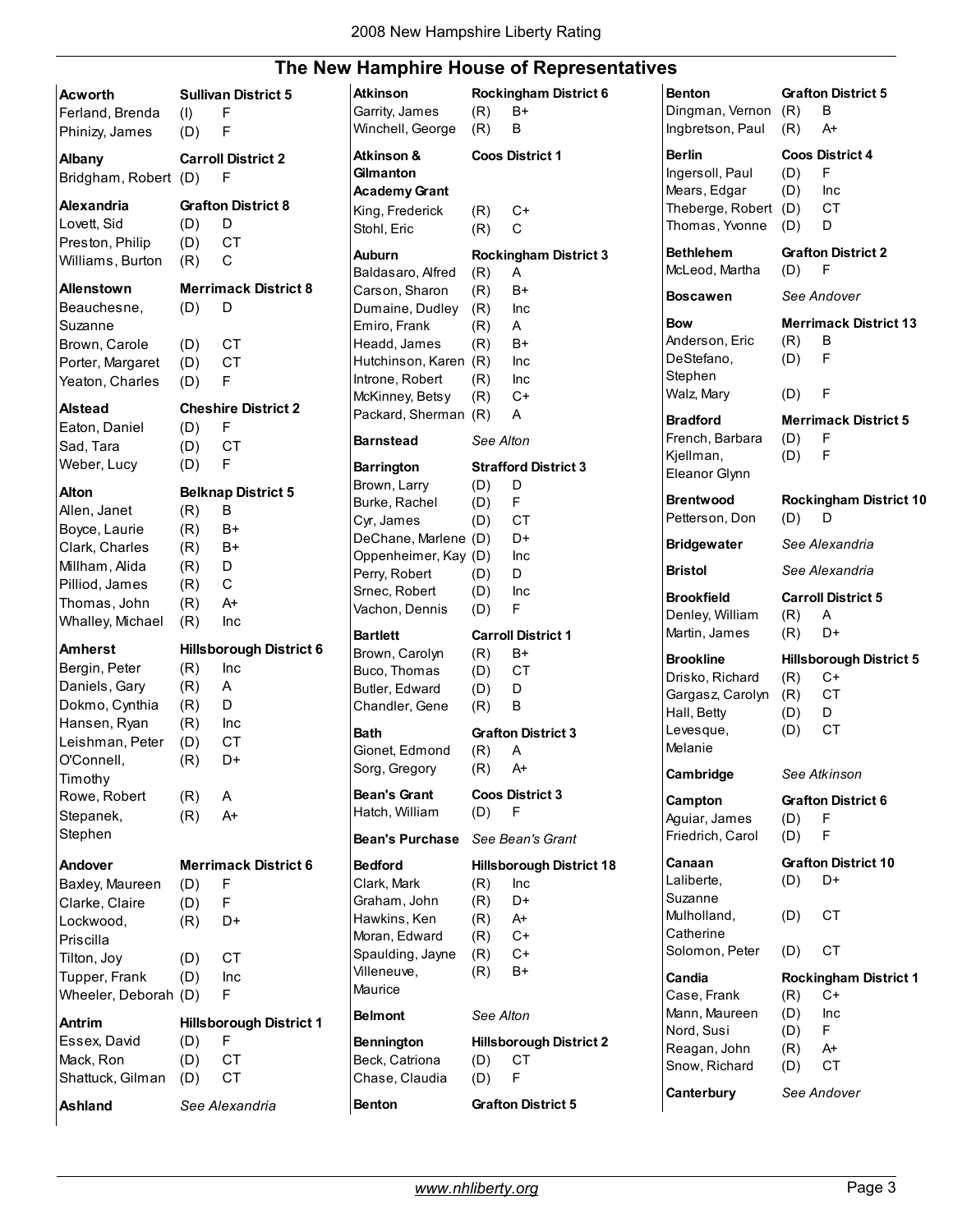### **The New Hamphire House of Representatives**

| Acworth<br>Ferland, Brenda                                                                                                       | (1)                                           | <b>Sullivan District 5</b><br>F                                                |
|----------------------------------------------------------------------------------------------------------------------------------|-----------------------------------------------|--------------------------------------------------------------------------------|
| Phinizy, James                                                                                                                   | (D)                                           | F                                                                              |
| <b>Albany</b><br>Bridgham, Robert                                                                                                | (D)                                           | <b>Carroll District 2</b><br>F                                                 |
| Alexandria<br>Lovett, Sid<br>Preston, Philip<br>Williams, Burton                                                                 | (D)<br>(D)<br>(R)                             | <b>Grafton District 8</b><br>D<br>CT<br>C                                      |
| <b>Allenstown</b><br>Beauchesne,<br>Suzanne<br>Brown, Carole                                                                     | (D)<br>(D)                                    | Merrimack District 8<br>D<br>СT                                                |
| Porter, Margaret<br>Yeaton, Charles                                                                                              | (D)<br>(D)                                    | <b>CT</b><br>F                                                                 |
| <b>Alstead</b><br>Eaton, Daniel<br>Sad, Tara<br>Weber, Lucy                                                                      | (D)<br>(D)<br>(D)                             | <b>Cheshire District 2</b><br>F<br>СT<br>F                                     |
| Alton<br>Allen, Janet<br>Boyce, Laurie<br>Clark, Charles<br>Millham, Alida<br>Pilliod, James<br>Thomas, John<br>Whalley, Michael | (R)<br>(R)<br>(R)<br>(R)<br>(R)<br>(R)<br>(R) | <b>Belknap District 5</b><br>в<br>B+<br>B+<br>D<br>$\mathsf{C}$<br>$A+$<br>Inc |
| <b>Amherst</b>                                                                                                                   |                                               | <b>Hillsborough District 6</b>                                                 |
| Bergin, Peter<br>Daniels, Gary<br>Dokmo, Cynthia<br>Hansen, Ryan<br>Leishman, Peter<br>O'Connell,                                | (R)<br>(R)<br>(R)<br>(R)<br>(D)<br>(R)        | Inc<br>A<br>D<br>Inc<br><b>CT</b><br>D+                                        |
| Timothy<br>Rowe, Robert<br>Stepanek,<br>Stephen                                                                                  | (R)<br>(R)                                    | A<br>A+                                                                        |
| Andover                                                                                                                          |                                               | <b>Merrimack District 6</b>                                                    |
| Baxley, Maureen<br>Clarke, Claire<br>Lockwood,<br>Priscilla                                                                      | (D)<br>(D)<br>(R)                             | F<br>F<br>D+                                                                   |
| Tilton, Joy<br>Tupper, Frank<br>Wheeler, Deborah (D)                                                                             | (D)<br>(D)                                    | СT<br>Inc<br>F                                                                 |
| <b>Antrim</b>                                                                                                                    |                                               | <b>Hillsborough District 1</b>                                                 |
| Essex, David<br>Mack, Ron<br>Shattuck, Gilman                                                                                    | (D)<br>(D)<br>(D)                             | F<br>СT<br><b>CT</b>                                                           |
| Ashland                                                                                                                          |                                               | See Alexandria                                                                 |

| Atkinson               |           | <b>Rockingham District 6</b>    |
|------------------------|-----------|---------------------------------|
| Garrity, James         | (R)       | B+                              |
| Winchell, George       | (R)       | в                               |
| Atkinson &             |           | Coos District 1                 |
| Gilmanton              |           |                                 |
| <b>Academy Grant</b>   |           |                                 |
| King, Frederick        | (R)       | $C+$                            |
| Stohl, Eric            | (R)       | C.                              |
| Auburn                 |           | <b>Rockingham District 3</b>    |
| Baldasaro, Alfred      | (R)       | A                               |
| Carson, Sharon         | (R)       | B+                              |
| Dumaine, Dudley        | (R)       | Inc                             |
| Emiro, Frank           | (R)       | A                               |
| Headd, James           | (R)       | B+                              |
| Hutchinson, Karen      | (R)       | Inc                             |
| Introne, Robert        | (R)       | Inc                             |
| McKinney, Betsy        | (R)       | C+                              |
| Packard, Sherman       | (R)       | A                               |
| Barnstead              | See Alton |                                 |
| <b>Barrington</b>      |           | <b>Strafford District 3</b>     |
| Brown, Larry           | (D)       | D                               |
| Burke, Rachel          | (D)       | F                               |
| Cyr, James             | (D)       | СT                              |
| DeChane, Marlene       | (D)       | D+                              |
| Oppenheimer, Kay       | (D)       | Inc                             |
| Perry, Robert          | (D)       | D                               |
| Srnec, Robert          | (D)       | Inc                             |
| Vachon, Dennis         | (D)       | F                               |
| <b>Bartlett</b>        |           | <b>Carroll District 1</b>       |
| Brown, Carolyn         | (R)       | B+                              |
| Buco, Thomas           | (D)       | СT                              |
| Butler, Edward         | (D)       | D                               |
| Chandler, Gene         | (R)       | B                               |
| Bath                   |           | <b>Grafton District 3</b>       |
| Gionet, Edmond         | (R)       | А                               |
| Sorg, Gregory          | (R)       | $A+$                            |
| Bean's Grant           |           | <b>Coos District 3</b>          |
| Hatch, William         | (D)       | F                               |
| <b>Bean's Purchase</b> |           | See Bean's Grant                |
| <b>Bedford</b>         |           | <b>Hillsborough District 18</b> |
| Clark, Mark            | (R)       | Inc                             |
| Graham, John           | (R)       | D+                              |
| Hawkins, Ken           | (R)       | A+                              |
| Moran, Edward          | (R)       | $C+$                            |
| Spaulding, Jayne       | (R)       | $C+$                            |
| Villeneuve,            | (R)       | $B+$                            |
| Maurice                |           |                                 |
| <b>Belmont</b>         | See Alton |                                 |
| Bennington             |           | <b>Hillsborough District 2</b>  |
| Beck, Catriona         | (D)       | СT                              |
| Chase, Claudia         | (D)       | F                               |
| <b>Benton</b>          |           | <b>Grafton District 5</b>       |

| auves                                                                                               |                                 |                                                                           |
|-----------------------------------------------------------------------------------------------------|---------------------------------|---------------------------------------------------------------------------|
| <b>Benton</b><br>Dingman, Vernon (R)<br>Ingbretson, Paul                                            | (R)                             | <b>Grafton District 5</b><br>В<br>$A^+$                                   |
| <b>Berlin</b><br>Ingersoll, Paul<br>Mears, Edgar<br>Theberge, Robert<br>Thomas, Yvonne              | (D)<br>$(D)$ Inc<br>(D)<br>(D)  | <b>Coos District 4</b><br>- F<br>CT<br>D                                  |
| <b>Bethlehem</b><br>McLeod, Martha                                                                  | (D)                             | <b>Grafton District 2</b><br>– F                                          |
| <b>Boscawen</b>                                                                                     |                                 | See Andover                                                               |
| <b>Bow</b><br>Anderson, Eric<br>DeStefano,<br>Stephen<br>Walz, Mary                                 | (R)<br>(D)<br>$(D)$ F           | <b>Merrimack District 13</b><br>в<br>F                                    |
| <b>Bradford</b><br>French, Barbara<br>Kjellman,<br>Eleanor Glynn                                    | (D)<br>(D)                      | <b>Merrimack District 5</b><br>F<br>- F                                   |
| <b>Brentwood</b><br>Petterson, Don                                                                  | (D)                             | <b>Rockingham District 10</b><br>D                                        |
| <b>Bridgewater</b>                                                                                  |                                 | See Alexandria                                                            |
| <b>Bristol</b>                                                                                      |                                 | See Alexandria                                                            |
| <b>Brookfield</b><br>Denley, William<br>Martin, James                                               | (R)<br>(R)                      | <b>Carroll District 5</b><br>A<br>D+                                      |
|                                                                                                     |                                 |                                                                           |
| <b>Brookline</b><br>Drisko, Richard<br>Gargasz, Carolyn<br>Hall, Betty<br>Levesque,<br>Melanie      | (R)<br>(R)<br>(D)<br>(D)        | <b>Hillsborough District 5</b><br>$C+$<br>CT<br>D<br>CT                   |
| Cambridge                                                                                           |                                 | See Atkinson                                                              |
| Campton<br>Aguiar, James<br>Friedrich, Carol                                                        | (D)<br>(D)                      | <b>Grafton District 6</b><br>F<br>F                                       |
| Canaan<br>Laliberte,<br>Suzanne<br>Mulholland,<br>Catherine<br>Solomon, Peter                       | (D)<br>(D)<br>(D)               | <b>Grafton District 10</b><br>D+<br>СT<br>СT                              |
| Candia<br>Case, Frank<br>Mann, Maureen<br>Nord, Susi<br>Reagan, John<br>Snow, Richard<br>Canterbury | (R)<br>(D)<br>(D)<br>(R)<br>(D) | <b>Rockingham District 1</b><br>C+<br>Inc<br>F<br>A+<br>СT<br>See Andover |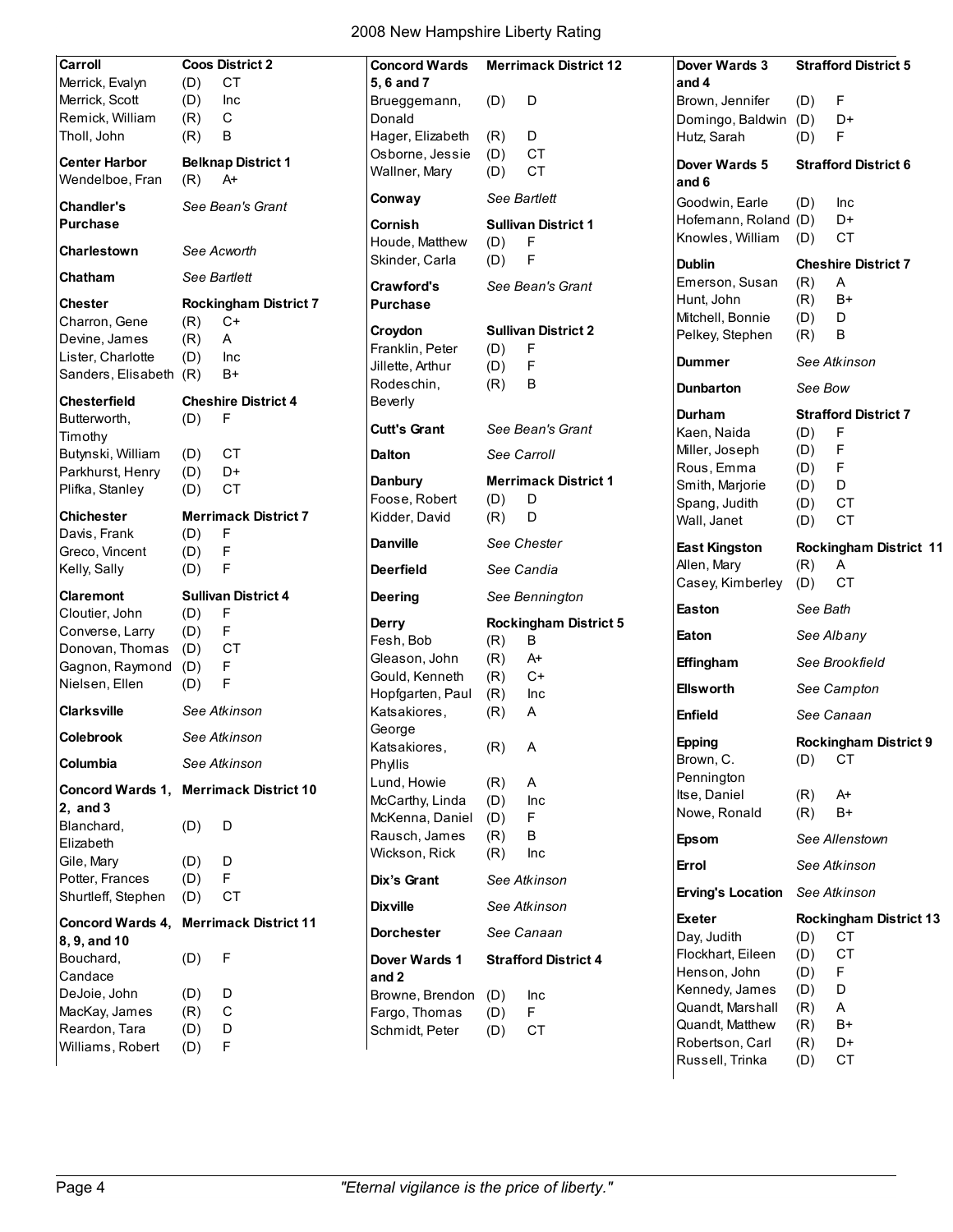| Carroll                                |            | <b>Coos District 2</b>       | <b>Concord Wards</b>             |            | <b>Merrimack District 12</b> | Dover Wards 3            |          | <b>Strafford District 5</b>   |
|----------------------------------------|------------|------------------------------|----------------------------------|------------|------------------------------|--------------------------|----------|-------------------------------|
| Merrick, Evalyn                        | (D)        | CT                           | 5, 6 and 7                       |            |                              | and 4                    |          |                               |
| Merrick, Scott                         | (D)        | Inc                          | Brueggemann,                     | (D)        | D                            | Brown, Jennifer          | (D)      | F                             |
| Remick, William                        | (R)        | C                            | Donald                           |            |                              | Domingo, Baldwin (D)     |          | D+                            |
| Tholl, John                            | (R)        | В                            | Hager, Elizabeth                 | (R)        | D                            | Hutz, Sarah              | (D)      | F                             |
| <b>Center Harbor</b>                   |            | <b>Belknap District 1</b>    | Osborne, Jessie                  | (D)        | <b>CT</b>                    |                          |          |                               |
| Wendelboe, Fran                        |            | $A+$                         | Wallner, Mary                    | (D)        | <b>CT</b>                    | Dover Wards 5            |          | <b>Strafford District 6</b>   |
|                                        | (R)        |                              | Conway                           |            | See Bartlett                 | and 6                    |          |                               |
| <b>Chandler's</b>                      |            | See Bean's Grant             |                                  |            |                              | Goodwin, Earle           | (D)      | Inc                           |
| <b>Purchase</b>                        |            |                              | Cornish                          |            | <b>Sullivan District 1</b>   | Hofemann, Roland (D)     |          | D+                            |
| <b>Charlestown</b>                     |            | See Acworth                  | Houde, Matthew                   | (D)        | F                            | Knowles, William         | (D)      | <b>CT</b>                     |
|                                        |            |                              | Skinder, Carla                   | (D)        | F                            | <b>Dublin</b>            |          | <b>Cheshire District 7</b>    |
| Chatham                                |            | See Bartlett                 | Crawford's                       |            | See Bean's Grant             | Emerson, Susan           | (R)      | Α                             |
| <b>Chester</b>                         |            | <b>Rockingham District 7</b> | <b>Purchase</b>                  |            |                              | Hunt, John               | (R)      | $B+$                          |
| Charron, Gene                          | (R)        | $C+$                         |                                  |            |                              | Mitchell, Bonnie         | (D)      | D                             |
| Devine, James                          | (R)        | A                            | Croydon                          |            | <b>Sullivan District 2</b>   | Pelkey, Stephen          | (R)      | В                             |
| Lister, Charlotte                      | (D)        | Inc                          | Franklin, Peter                  | (D)        | F                            |                          |          |                               |
| Sanders, Elisabeth                     | (R)        | B+                           | Jillette, Arthur                 | (D)        | F                            | <b>Dummer</b>            |          | See Atkinson                  |
|                                        |            |                              | Rodeschin,                       | (R)        | В                            | <b>Dunbarton</b>         | See Bow  |                               |
| <b>Chesterfield</b>                    |            | <b>Cheshire District 4</b>   | <b>Beverly</b>                   |            |                              |                          |          |                               |
| Butterworth,                           | (D)        | F                            | <b>Cutt's Grant</b>              |            | See Bean's Grant             | Durham                   |          | <b>Strafford District 7</b>   |
| Timothy                                |            |                              |                                  |            |                              | Kaen, Naida              | (D)      | F                             |
| Butynski, William                      | (D)        | <b>CT</b>                    | <b>Dalton</b>                    |            | See Carroll                  | Miller, Joseph           | (D)      | F                             |
| Parkhurst, Henry                       | (D)        | D+                           | Danbury                          |            | <b>Merrimack District 1</b>  | Rous, Emma               | (D)      | F                             |
| Plifka, Stanley                        | (D)        | <b>CT</b>                    | Foose, Robert                    |            |                              | Smith, Marjorie          | (D)      | D                             |
| <b>Chichester</b>                      |            | <b>Merrimack District 7</b>  |                                  | (D)        | D<br>D                       | Spang, Judith            | (D)      | <b>CT</b>                     |
| Davis, Frank                           |            | F                            | Kidder, David                    | (R)        |                              | Wall, Janet              | (D)      | <b>CT</b>                     |
| Greco, Vincent                         | (D)        | F                            | <b>Danville</b>                  |            | See Chester                  | <b>East Kingston</b>     |          | <b>Rockingham District 11</b> |
| Kelly, Sally                           | (D)<br>(D) | F                            | <b>Deerfield</b>                 |            | See Candia                   | Allen, Mary              | (R)      | A                             |
|                                        |            |                              |                                  |            |                              | Casey, Kimberley         | (D)      | <b>CT</b>                     |
| <b>Claremont</b>                       |            | <b>Sullivan District 4</b>   | <b>Deering</b>                   |            | See Bennington               |                          |          |                               |
| Cloutier, John                         | (D)        | F                            |                                  |            | <b>Rockingham District 5</b> | Easton                   | See Bath |                               |
| Converse, Larry                        | (D)        | F                            | Derry                            |            |                              | Eaton                    |          | See Albany                    |
| Donovan, Thomas                        | (D)        | СT                           | Fesh, Bob                        | (R)        | В<br>$A+$                    |                          |          |                               |
| Gagnon, Raymond                        | (D)        | F                            | Gleason, John<br>Gould, Kenneth  | (R)        | $C+$                         | Effingham                |          | See Brookfield                |
| Nielsen, Ellen                         | (D)        | F                            |                                  | (R)        |                              | <b>Ellsworth</b>         |          | See Campton                   |
| <b>Clarksville</b>                     |            | See Atkinson                 | Hopfgarten, Paul<br>Katsakiores, | (R)<br>(R) | Inc<br>Α                     |                          |          |                               |
|                                        |            |                              | George                           |            |                              | Enfield                  |          | See Canaan                    |
| <b>Colebrook</b>                       |            | See Atkinson                 | Katsakiores,                     | (R)        | $\mathsf{A}$                 | <b>Epping</b>            |          | <b>Rockingham District 9</b>  |
| Columbia                               |            | See Atkinson                 | Phyllis                          |            |                              | Brown, C.                | (D)      | СT                            |
|                                        |            |                              | Lund, Howie                      | (R)        | Α                            | Pennington               |          |                               |
| Concord Wards 1, Merrimack District 10 |            |                              | McCarthy, Linda                  | (D)        | Inc                          | Itse, Daniel             | (R)      | $A+$                          |
| 2, and 3                               |            |                              | McKenna, Daniel                  | (D)        | F                            | Nowe, Ronald             | (R)      | B+                            |
| Blanchard,                             | (D)        | D                            | Rausch, James                    |            | В                            |                          |          |                               |
| Elizabeth                              |            |                              |                                  | (R)        |                              | <b>Epsom</b>             |          | See Allenstown                |
| Gile, Mary                             | (D)        | D                            | Wickson, Rick                    | (R)        | Inc                          | Errol                    |          | See Atkinson                  |
| Potter, Frances                        | (D)        | F                            | Dix's Grant                      |            | See Atkinson                 |                          |          |                               |
| Shurtleff, Stephen                     | (D)        | СT                           |                                  |            |                              | <b>Erving's Location</b> |          | See Atkinson                  |
| Concord Wards 4, Merrimack District 11 |            |                              | <b>Dixville</b>                  |            | See Atkinson                 | <b>Exeter</b>            |          | <b>Rockingham District 13</b> |
| 8, 9, and 10                           |            |                              | Dorchester                       |            | See Canaan                   | Day, Judith              | (D)      | <b>CT</b>                     |
|                                        |            |                              |                                  |            |                              | Flockhart, Eileen        | (D)      | <b>CT</b>                     |
| Bouchard,                              | (D)        | $\mathsf F$                  | Dover Wards 1                    |            | <b>Strafford District 4</b>  | Henson, John             | (D)      | F                             |
| Candace                                |            |                              | and 2                            |            |                              | Kennedy, James           | (D)      | D                             |
| DeJoie, John                           | (D)        | D                            | Browne, Brendon                  | (D)        | Inc                          | Quandt, Marshall         | (R)      | A                             |
| MacKay, James                          | (R)        | $\mathsf C$                  | Fargo, Thomas                    | (D)        | F                            | Quandt, Matthew          | (R)      | B+                            |
| Reardon, Tara                          | (D)        | D                            | Schmidt, Peter                   | (D)        | <b>CT</b>                    | Robertson, Carl          | (R)      | D+                            |
| Williams, Robert                       | (D)        | F                            |                                  |            |                              | Russell, Trinka          | (D)      | СT                            |
|                                        |            |                              |                                  |            |                              |                          |          |                               |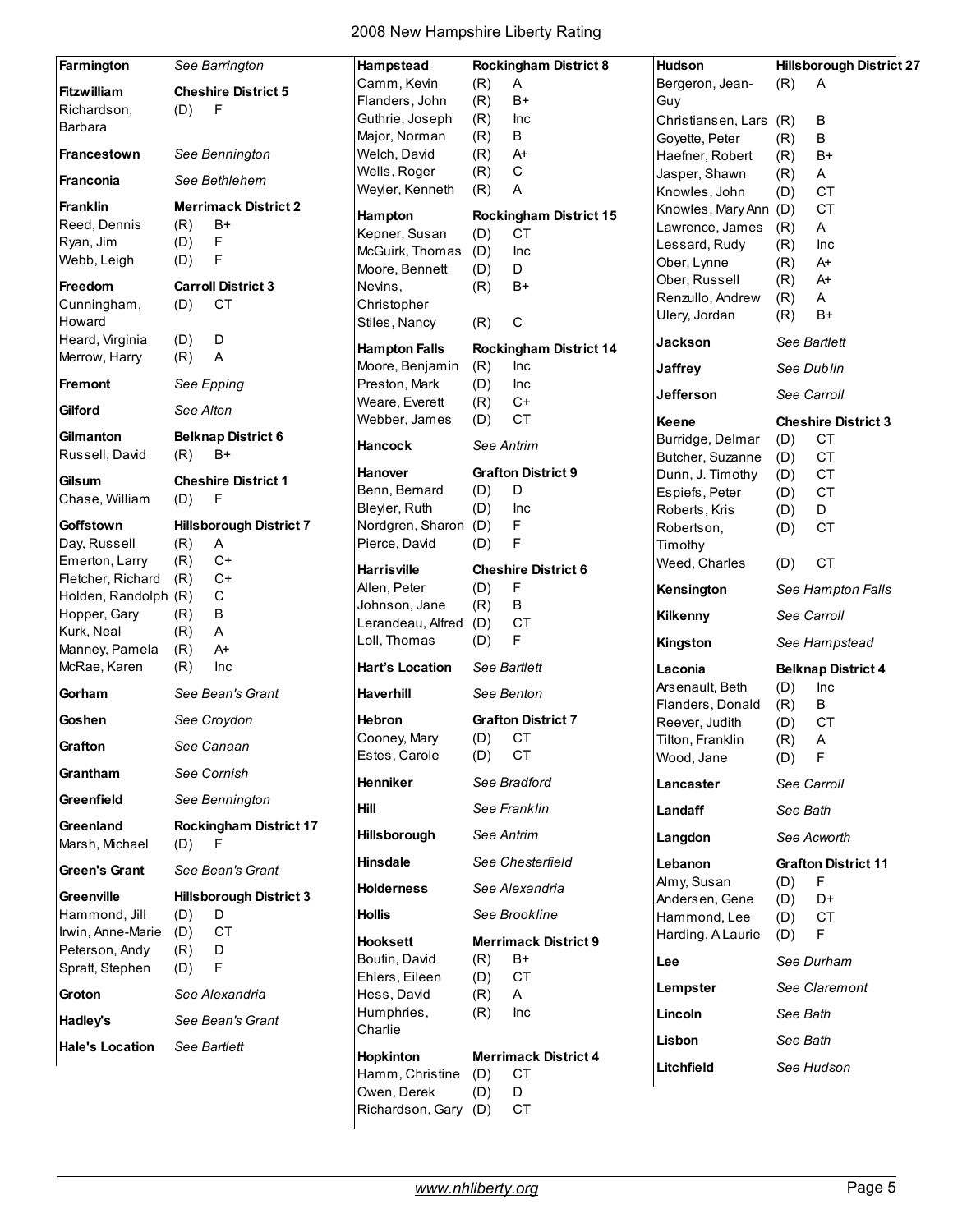| Farmington                  | See Barrington                               | Hampstead                     | <b>Rockingham District 8</b>  | <b>Hudson</b>                     | <b>Hillsborough District 27</b> |
|-----------------------------|----------------------------------------------|-------------------------------|-------------------------------|-----------------------------------|---------------------------------|
| <b>Fitzwilliam</b>          | <b>Cheshire District 5</b>                   | Camm, Kevin                   | (R)<br>Α                      | Bergeron, Jean-                   | (R)<br>Α                        |
| Richardson,                 | (D)<br>F                                     | Flanders, John                | (R)<br>B+                     | Guy                               |                                 |
| Barbara                     |                                              | Guthrie, Joseph               | (R)<br>Inc                    | Christiansen, Lars                | (R)<br>В                        |
|                             |                                              | Major, Norman                 | В<br>(R)                      | Goyette, Peter                    | В<br>(R)                        |
| Francestown                 | See Bennington                               | Welch, David                  | (R)<br>A+                     | Haefner, Robert                   | $B+$<br>(R)                     |
| Franconia                   | See Bethlehem                                | Wells, Roger                  | С<br>(R)                      | Jasper, Shawn                     | (R)<br>Α                        |
|                             |                                              | Weyler, Kenneth               | (R)<br>A                      | Knowles, John                     | <b>CT</b><br>(D)                |
| <b>Franklin</b>             | <b>Merrimack District 2</b>                  | Hampton                       | <b>Rockingham District 15</b> | Knowles, Mary Ann (D)             | <b>CT</b>                       |
| Reed, Dennis                | (R)<br>$B+$                                  | Kepner, Susan                 | <b>CT</b><br>(D)              | Lawrence, James                   | A<br>(R)                        |
| Ryan, Jim                   | F<br>(D)                                     | McGuirk, Thomas               | (D)<br>Inc                    | Lessard, Rudy                     | (R)<br>Inc                      |
| Webb, Leigh                 | F<br>(D)                                     | Moore, Bennett                | D<br>(D)                      | Ober, Lynne                       | (R)<br>$A+$                     |
| <b>Freedom</b>              | <b>Carroll District 3</b>                    | Nevins,                       | (R)<br>B+                     | Ober, Russell                     | (R)<br>A+                       |
| Cunningham,                 | <b>CT</b><br>(D)                             | Christopher                   |                               | Renzullo, Andrew                  | Α<br>(R)                        |
| Howard                      |                                              | Stiles, Nancy                 | С<br>(R)                      | Ulery, Jordan                     | $B+$<br>(R)                     |
| Heard, Virginia             | D<br>(D)                                     |                               |                               | Jackson                           | See Bartlett                    |
| Merrow, Harry               | (R)<br>Α                                     | <b>Hampton Falls</b>          | <b>Rockingham District 14</b> |                                   |                                 |
|                             |                                              | Moore, Benjamin               | (R)<br>Inc                    | <b>Jaffrey</b>                    | See Dublin                      |
| <b>Fremont</b>              | See Epping                                   | Preston, Mark                 | (D)<br>Inc                    | <b>Jefferson</b>                  | See Carroll                     |
| Gilford                     | See Alton                                    | Weare, Everett                | $C+$<br>(R)                   |                                   |                                 |
|                             |                                              | Webber, James                 | <b>CT</b><br>(D)              | Keene                             | <b>Cheshire District 3</b>      |
| Gilmanton                   | <b>Belknap District 6</b>                    | <b>Hancock</b>                | See Antrim                    | Burridge, Delmar                  | <b>CT</b><br>(D)                |
| Russell, David              | (R)<br>$B+$                                  |                               |                               | Butcher, Suzanne                  | <b>CT</b><br>(D)                |
| Gilsum                      | <b>Cheshire District 1</b>                   | <b>Hanover</b>                | <b>Grafton District 9</b>     | Dunn, J. Timothy                  | <b>CT</b><br>(D)                |
| Chase, William              | F<br>(D)                                     | Benn, Bernard                 | (D)<br>D                      | Espiefs, Peter                    | <b>CT</b><br>(D)                |
|                             |                                              | Bleyler, Ruth                 | (D)<br>Inc                    | Roberts, Kris                     | D<br>(D)                        |
| Goffstown                   | <b>Hillsborough District 7</b>               | Nordgren, Sharon (D)          | F                             | Robertson,                        | <b>CT</b><br>(D)                |
| Day, Russell                | (R)<br>Α                                     | Pierce, David                 | F<br>(D)                      | Timothy                           |                                 |
| Emerton, Larry              | (R)<br>$C+$                                  | <b>Harrisville</b>            | <b>Cheshire District 6</b>    | Weed, Charles                     | <b>CT</b><br>(D)                |
| Fletcher, Richard           | $C+$<br>(R)                                  | Allen, Peter                  | F<br>(D)                      |                                   |                                 |
| Holden, Randolph (R)        | $\mathbf C$                                  | Johnson, Jane                 | В<br>(R)                      | Kensington                        | See Hampton Falls               |
| Hopper, Gary                | B<br>(R)                                     | Lerandeau, Alfred             | (D)<br>CT                     | Kilkenny                          | See Carroll                     |
| Kurk, Neal                  | A<br>(R)                                     | Loll, Thomas                  | F<br>(D)                      |                                   |                                 |
| Manney, Pamela              | (R)<br>A+                                    |                               |                               | Kingston                          | See Hampstead                   |
| McRae, Karen                | (R)<br>Inc                                   | <b>Hart's Location</b>        | See Bartlett                  | Laconia                           | <b>Belknap District 4</b>       |
| Gorham                      | See Bean's Grant                             | <b>Haverhill</b>              | See Benton                    | Arsenault, Beth                   | (D)<br>Inc                      |
|                             |                                              |                               |                               | Flanders, Donald                  | $\sf B$<br>(R)                  |
| Goshen                      | See Croydon                                  | <b>Hebron</b>                 | <b>Grafton District 7</b>     | Reever, Judith                    | <b>CT</b><br>(D)                |
| Grafton                     | See Canaan                                   | Cooney, Mary                  | (D) CT                        | Tilton, Franklin                  | $(R)$ A                         |
|                             |                                              | Estes, Carole                 | CT<br>(D)                     | Wood, Jane                        | F<br>(D)                        |
| Grantham                    | See Cornish                                  | Henniker                      | See Bradford                  | Lancaster                         | See Carroll                     |
| Greenfield                  | See Bennington                               | Hill                          | See Franklin                  | Landaff                           | See Bath                        |
| Greenland<br>Marsh, Michael | <b>Rockingham District 17</b><br>$-F$<br>(D) | <b>Hillsborough</b>           | See Antrim                    | Langdon                           | See Acworth                     |
| Green's Grant               | See Bean's Grant                             | <b>Hinsdale</b>               | See Chesterfield              | Lebanon                           | <b>Grafton District 11</b>      |
|                             |                                              | <b>Holderness</b>             | See Alexandria                | Almy, Susan                       | $\mathsf F$<br>(D)              |
| Greenville<br>Hammond, Jill | <b>Hillsborough District 3</b><br>(D)<br>D   | <b>Hollis</b>                 | See Brookline                 | Andersen, Gene                    | D+<br>(D)                       |
| Irwin, Anne-Marie           | CT<br>(D)                                    | <b>Hooksett</b>               | <b>Merrimack District 9</b>   | Hammond, Lee<br>Harding, A Laurie | CT<br>(D)<br>F.<br>(D)          |
| Peterson, Andy              | (R)<br>D                                     | Boutin, David                 | B+                            |                                   |                                 |
| Spratt, Stephen             | F<br>(D)                                     |                               | (R)                           | Lee                               | See Durham                      |
| Groton                      | See Alexandria                               | Ehlers, Eileen<br>Hess, David | СT<br>(D)<br>(R)<br>A         | Lempster                          | See Claremont                   |
| Hadley's                    | See Bean's Grant                             | Humphries,                    | (R)<br><b>Inc</b>             | Lincoln                           | See Bath                        |
| <b>Hale's Location</b>      | See Bartlett                                 | Charlie                       |                               | Lisbon                            | See Bath                        |
|                             |                                              | Hopkinton                     | <b>Merrimack District 4</b>   | Litchfield                        | See Hudson                      |
|                             |                                              | Hamm, Christine               | <b>CT</b><br>(D)              |                                   |                                 |
|                             |                                              | Owen, Derek                   | D<br>(D)                      |                                   |                                 |
|                             |                                              | Richardson, Gary (D)          | СT                            |                                   |                                 |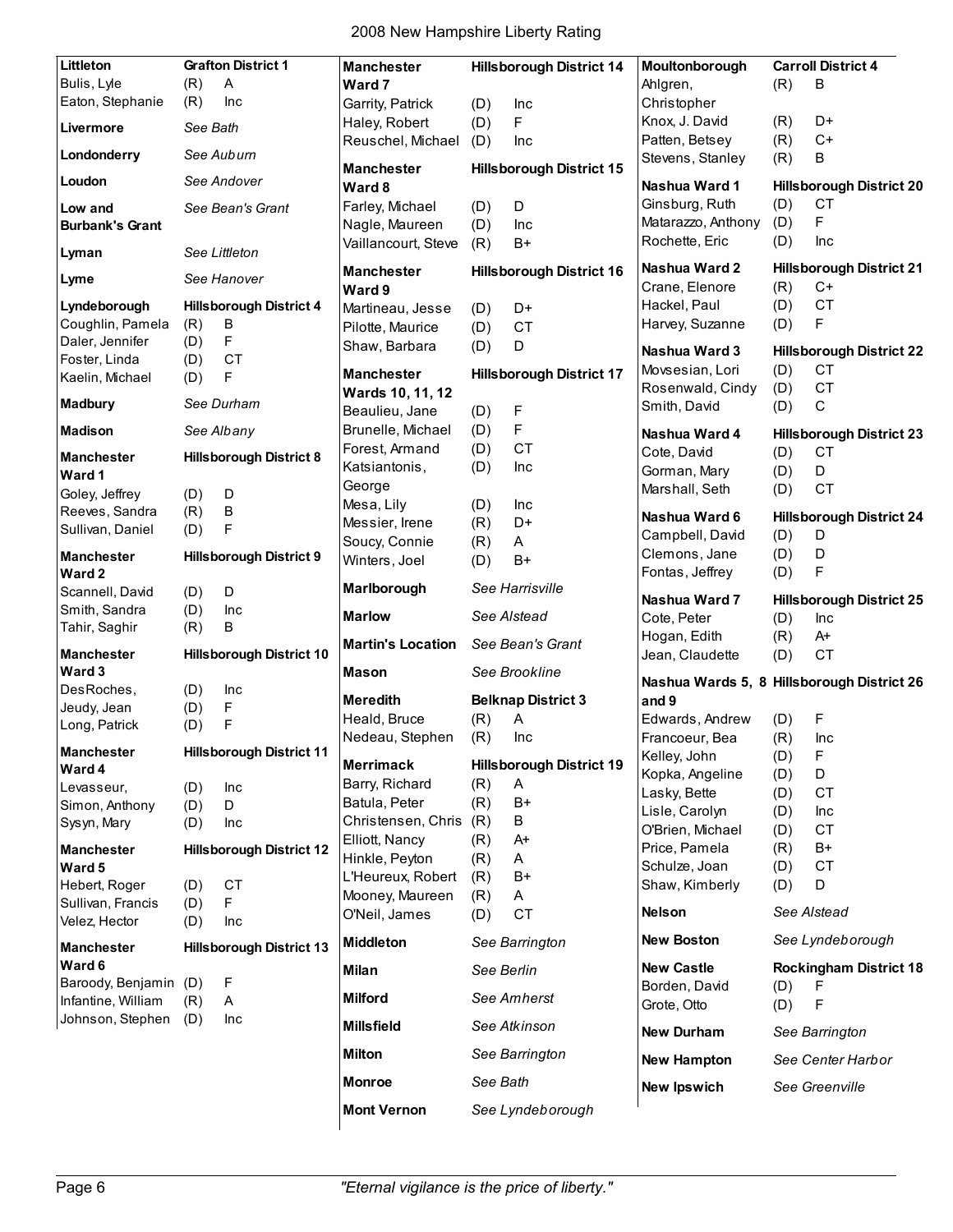| Littleton                              |            | <b>Grafton District 1</b>       | <b>Manchester</b>        |            | <b>Hillsborough District 14</b> | Moultonborough                             |     | <b>Carroll District 4</b>       |
|----------------------------------------|------------|---------------------------------|--------------------------|------------|---------------------------------|--------------------------------------------|-----|---------------------------------|
| Bulis, Lyle                            | (R)        | $\boldsymbol{\mathsf{A}}$       | Ward 7                   |            |                                 | Ahlgren,                                   | (R) | B                               |
| Eaton, Stephanie                       | (R)        | Inc                             | Garrity, Patrick         | (D)        | Inc                             | Christopher                                |     |                                 |
|                                        |            |                                 | Haley, Robert            | (D)        | F                               | Knox, J. David                             | (R) | D+                              |
| Livermore                              | See Bath   |                                 |                          |            |                                 | Patten, Betsey                             | (R) | $C+$                            |
| Londonderry                            |            | See Auburn                      | Reuschel, Michael        | (D)        | Inc                             | Stevens, Stanley                           | (R) | В                               |
| Loudon                                 |            | See Andover                     | <b>Manchester</b>        |            | <b>Hillsborough District 15</b> |                                            |     |                                 |
|                                        |            |                                 | Ward 8                   |            |                                 | Nashua Ward 1                              |     | <b>Hillsborough District 20</b> |
| Low and                                |            | See Bean's Grant                | Farley, Michael          | (D)        | D                               | Ginsburg, Ruth                             | (D) | <b>CT</b>                       |
| <b>Burbank's Grant</b>                 |            |                                 | Nagle, Maureen           | (D)        | Inc                             | Matarazzo, Anthony                         | (D) | F                               |
| Lyman                                  |            | See Littleton                   | Vaillancourt, Steve      | (R)        | $B+$                            | Rochette, Eric                             | (D) | Inc                             |
| Lyme                                   |            | See Hanover                     | <b>Manchester</b>        |            | <b>Hillsborough District 16</b> | Nashua Ward 2                              |     | <b>Hillsborough District 21</b> |
|                                        |            |                                 | Ward 9                   |            |                                 | Crane, Elenore                             | (R) | C+                              |
| Lyndeborough                           |            | <b>Hillsborough District 4</b>  | Martineau, Jesse         | (D)        | D+                              | Hackel, Paul                               | (D) | <b>CT</b>                       |
| Coughlin, Pamela                       | (R)        | B                               | Pilotte, Maurice         | (D)        | <b>CT</b>                       | Harvey, Suzanne                            | (D) | F                               |
| Daler, Jennifer                        | (D)        | F                               | Shaw, Barbara            | (D)        | D                               | Nashua Ward 3                              |     | <b>Hillsborough District 22</b> |
| Foster, Linda                          | (D)        | <b>CT</b>                       |                          |            |                                 | Movsesian, Lori                            |     | СT                              |
| Kaelin, Michael                        | (D)        | F                               | <b>Manchester</b>        |            | <b>Hillsborough District 17</b> |                                            | (D) | <b>CT</b>                       |
| <b>Madbury</b>                         |            | See Durham                      | Wards 10, 11, 12         |            |                                 | Rosenwald, Cindy                           | (D) |                                 |
|                                        |            |                                 | Beaulieu, Jane           | (D)        | F                               | Smith, David                               | (D) | $\mathsf C$                     |
| <b>Madison</b>                         |            | See Albany                      | Brunelle, Michael        | (D)        | F                               | Nashua Ward 4                              |     | <b>Hillsborough District 23</b> |
|                                        |            |                                 | Forest, Armand           | (D)        | <b>CT</b>                       | Cote, David                                | (D) | <b>CT</b>                       |
| <b>Manchester</b>                      |            | <b>Hillsborough District 8</b>  | Katsiantonis,            | (D)        | Inc                             | Gorman, Mary                               | (D) | D                               |
| Ward 1                                 |            |                                 | George                   |            |                                 | Marshall, Seth                             | (D) | <b>CT</b>                       |
| Goley, Jeffrey                         | (D)        | D                               | Mesa, Lily               | (D)        | Inc                             |                                            |     |                                 |
| Reeves, Sandra                         | (R)        | $\sf B$                         | Messier, Irene           | (R)        | D+                              | Nashua Ward 6                              |     | <b>Hillsborough District 24</b> |
| Sullivan, Daniel                       | (D)        | F                               | Soucy, Connie            | (R)        | A                               | Campbell, David                            | (D) | D                               |
| <b>Manchester</b>                      |            | <b>Hillsborough District 9</b>  | Winters, Joel            |            | $B+$                            | Clemons, Jane                              | (D) | D                               |
| Ward 2                                 |            |                                 |                          | (D)        |                                 | Fontas, Jeffrey                            | (D) | F                               |
| Scannell, David                        | (D)        | D                               | Marlborough              |            | See Harrisville                 |                                            |     |                                 |
|                                        |            |                                 |                          |            |                                 |                                            |     |                                 |
|                                        |            |                                 |                          |            |                                 | Nashua Ward 7                              |     | <b>Hillsborough District 25</b> |
| Smith, Sandra                          | (D)        | Inc                             | <b>Marlow</b>            |            | See Alstead                     | Cote, Peter                                | (D) | Inc                             |
| Tahir, Saghir                          | (R)        | В                               | <b>Martin's Location</b> |            | See Bean's Grant                | Hogan, Edith                               | (R) | A+                              |
| <b>Manchester</b>                      |            | <b>Hillsborough District 10</b> |                          |            |                                 | Jean, Claudette                            | (D) | <b>CT</b>                       |
| Ward 3                                 |            |                                 | Mason                    |            | See Brookline                   |                                            |     |                                 |
| DesRoches,                             | (D)        | Inc                             |                          |            |                                 | Nashua Wards 5, 8 Hillsborough District 26 |     |                                 |
| Jeudy, Jean                            | (D)        | F                               | <b>Meredith</b>          |            | <b>Belknap District 3</b>       | and 9                                      |     |                                 |
| Long, Patrick                          | (D)        | F                               | Heald, Bruce             | (R)        | A                               | Edwards, Andrew                            | (D) | F                               |
|                                        |            |                                 | Nedeau, Stephen          | (R)        | Inc                             | Francoeur, Bea                             | (R) | Inc                             |
| Manchester                             |            | <b>Hillsborough District 11</b> | <b>Merrimack</b>         |            | <b>Hillsborough District 19</b> | Kelley, John                               | (D) | F                               |
| Ward 4                                 |            |                                 | Barry, Richard           | (R)        | A                               | Kopka, Angeline                            | (D) | D                               |
| Levasseur,                             | (D)        | Inc                             | Batula, Peter            |            | $B+$                            | Lasky, Bette                               | (D) | <b>CT</b>                       |
| Simon, Anthony                         | (D)        | D                               | Christensen, Chris       | (R)        |                                 | Lisle, Carolyn                             | (D) | Inc                             |
| Sysyn, Mary                            | (D)        | Inc                             |                          | (R)        | B                               | O'Brien, Michael                           | (D) | <b>CT</b>                       |
| <b>Manchester</b>                      |            | <b>Hillsborough District 12</b> | Elliott, Nancy           | (R)        | A+                              | Price, Pamela                              | (R) | B+                              |
| Ward 5                                 |            |                                 | Hinkle, Peyton           | (R)        | A                               | Schulze, Joan                              | (D) | <b>CT</b>                       |
| Hebert, Roger                          | (D)        | CT                              | L'Heureux, Robert        | (R)        | $B+$                            | Shaw, Kimberly                             | (D) | D                               |
| Sullivan, Francis                      | (D)        | F                               | Mooney, Maureen          | (R)        | Α                               |                                            |     |                                 |
| Velez, Hector                          | (D)        | Inc                             | O'Neil, James            | (D)        | <b>CT</b>                       | <b>Nelson</b>                              |     | See Alstead                     |
| <b>Manchester</b>                      |            | <b>Hillsborough District 13</b> | <b>Middleton</b>         |            | See Barrington                  | <b>New Boston</b>                          |     | See Lyndeborough                |
| Ward 6                                 |            |                                 | Milan                    | See Berlin |                                 | <b>New Castle</b>                          |     | <b>Rockingham District 18</b>   |
| Baroody, Benjamin (D)                  |            | F                               | <b>Milford</b>           |            | See Amherst                     | Borden, David                              | (D) | F                               |
| Infantine, William<br>Johnson, Stephen | (R)<br>(D) | Α<br>Inc                        |                          |            |                                 | Grote, Otto                                | (D) | F                               |
|                                        |            |                                 | <b>Millsfield</b>        |            | See Atkinson                    | <b>New Durham</b>                          |     | See Barrington                  |
|                                        |            |                                 | <b>Milton</b>            |            | See Barrington                  | <b>New Hampton</b>                         |     | See Center Harbor               |
|                                        |            |                                 | <b>Monroe</b>            | See Bath   |                                 | <b>New Ipswich</b>                         |     | See Greenville                  |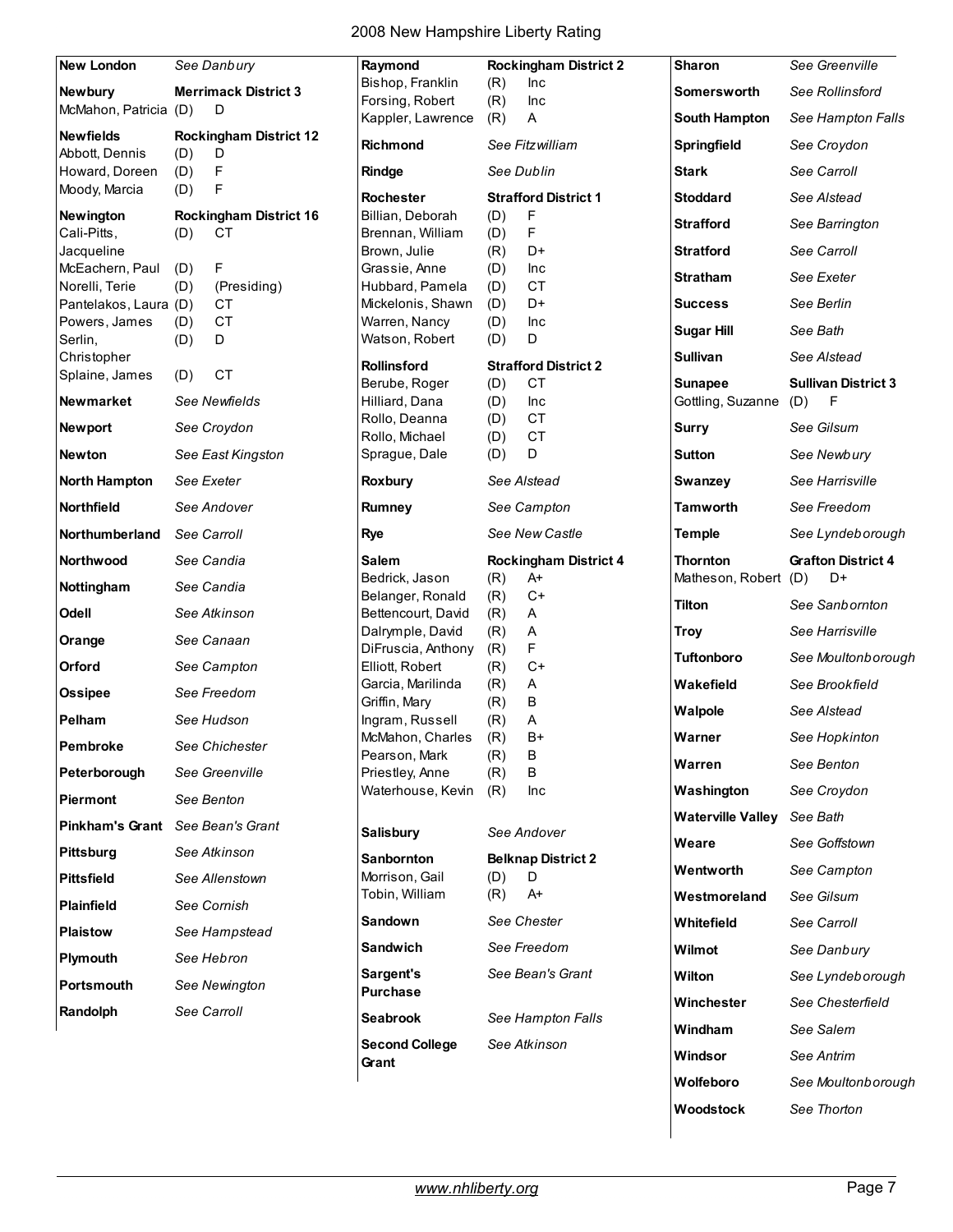| <b>New London</b>                |             | See Danbury                   | Raymond                                |            | <b>Rockingham District 2</b>             | <b>Sharon</b>                       | See Greenville             |
|----------------------------------|-------------|-------------------------------|----------------------------------------|------------|------------------------------------------|-------------------------------------|----------------------------|
| Newbury                          |             | <b>Merrimack District 3</b>   | Bishop, Franklin                       | (R)        | Inc                                      | <b>Somersworth</b>                  | See Rollinsford            |
| McMahon, Patricia (D)            |             | D                             | Forsing, Robert<br>Kappler, Lawrence   | (R)<br>(R) | Inc<br>Α                                 | South Hampton                       | See Hampton Falls          |
| <b>Newfields</b>                 |             | <b>Rockingham District 12</b> |                                        |            |                                          |                                     |                            |
| Abbott, Dennis                   | (D)         | D                             | <b>Richmond</b>                        |            | See Fitzwilliam                          | Springfield                         | See Croydon                |
| Howard, Doreen                   | (D)         | F                             | Rindge                                 |            | See Dublin                               | <b>Stark</b>                        | See Carroll                |
| Moody, Marcia                    | (D)         | F                             | <b>Rochester</b>                       |            | <b>Strafford District 1</b>              | <b>Stoddard</b>                     | See Alstead                |
| <b>Newington</b>                 |             | <b>Rockingham District 16</b> | Billian, Deborah                       | (D)        | F                                        | <b>Strafford</b>                    | See Barrington             |
| Cali-Pitts,<br>Jacqueline        | (D)         | CT                            | Brennan, William<br>Brown, Julie       | (D)<br>(R) | F<br>D+                                  | <b>Stratford</b>                    | See Carroll                |
| McEachern, Paul                  | (D)         | F                             | Grassie, Anne                          | (D)        | Inc                                      |                                     |                            |
| Norelli, Terie                   | (D)         | (Presiding)                   | Hubbard, Pamela                        | (D)        | <b>CT</b>                                | <b>Stratham</b>                     | See Exeter                 |
| Pantelakos, Laura (D)            |             | <b>CT</b>                     | Mickelonis, Shawn                      | (D)        | D+                                       | <b>Success</b>                      | See Berlin                 |
| Powers, James                    | (D)         | $\mathsf{C}\mathsf{T}$<br>D   | Warren, Nancy                          | (D)        | Inc<br>D                                 | <b>Sugar Hill</b>                   | See Bath                   |
| Serlin,<br>Christopher           | (D)         |                               | Watson, Robert                         | (D)        |                                          | <b>Sullivan</b>                     | See Alstead                |
| Splaine, James                   | (D)         | <b>CT</b>                     | <b>Rollinsford</b>                     |            | <b>Strafford District 2</b><br><b>CT</b> |                                     | <b>Sullivan District 3</b> |
| <b>Newmarket</b>                 |             | See Newfields                 | Berube, Roger<br>Hilliard, Dana        | (D)<br>(D) | Inc                                      | <b>Sunapee</b><br>Gottling, Suzanne | F<br>(D)                   |
|                                  |             |                               | Rollo, Deanna                          | (D)        | <b>CT</b>                                |                                     | See Gilsum                 |
| <b>Newport</b>                   |             | See Croydon                   | Rollo, Michael                         | (D)        | <b>CT</b>                                | <b>Surry</b>                        |                            |
| Newton                           |             | See East Kingston             | Sprague, Dale                          | (D)        | D                                        | Sutton                              | See Newbury                |
| <b>North Hampton</b>             | See Exeter  |                               | Roxbury                                |            | See Alstead                              | Swanzey                             | See Harrisville            |
| Northfield                       |             | See Andover                   | Rumney                                 |            | See Campton                              | <b>Tamworth</b>                     | See Freedom                |
| Northumberland                   | See Carroll |                               | <b>Rye</b>                             |            | See New Castle                           | <b>Temple</b>                       | See Lyndeborough           |
| <b>Northwood</b>                 | See Candia  |                               | Salem                                  |            | <b>Rockingham District 4</b>             | Thornton                            | <b>Grafton District 4</b>  |
| Nottingham                       | See Candia  |                               | Bedrick, Jason                         | (R)        | A+<br>$C+$                               | Matheson, Robert                    | D+<br>(D)                  |
| Odell                            |             | See Atkinson                  | Belanger, Ronald<br>Bettencourt, David | (R)<br>(R) | A                                        | <b>Tilton</b>                       | See Sanbornton             |
|                                  |             | See Canaan                    | Dalrymple, David                       | (R)        | A                                        | <b>Troy</b>                         | See Harrisville            |
| Orange                           |             |                               | DiFruscia, Anthony                     | (R)        | F                                        | <b>Tuftonboro</b>                   | See Moultonborough         |
| Orford                           |             | See Campton                   | Elliott, Robert                        | (R)        | $C+$                                     |                                     |                            |
| <b>Ossipee</b>                   |             | See Freedom                   | Garcia, Marilinda<br>Griffin, Mary     | (R)<br>(R) | Α<br>B                                   | Wakefield                           | See Brookfield             |
| Pelham                           |             | See Hudson                    | Ingram, Russell                        | (R)        | A                                        | Walpole                             | See Alstead                |
| Pembroke                         |             | See Chichester                | McMahon, Charles                       | (R)        | $B+$                                     | Warner                              | See Hopkinton              |
|                                  |             | See Greenville                | Pearson, Mark                          | (R)        | B<br>B                                   | Warren                              | See Benton                 |
| Peterborough                     |             |                               | Priestley, Anne<br>Waterhouse, Kevin   | (R)<br>(R) | Inc                                      | Washington                          | See Croydon                |
| Piermont                         |             | See Benton                    |                                        |            |                                          | <b>Waterville Valley</b>            | See Bath                   |
| Pinkham's Grant See Bean's Grant |             |                               | <b>Salisbury</b>                       |            | See Andover                              | Weare                               | See Goffstown              |
| <b>Pittsburg</b>                 |             | See Atkinson                  | <b>Sanbornton</b>                      |            | <b>Belknap District 2</b>                |                                     |                            |
| <b>Pittsfield</b>                |             | See Allenstown                | Morrison, Gail                         | (D)        | D                                        | Wentworth                           | See Campton                |
| <b>Plainfield</b>                |             | See Cornish                   | Tobin, William                         | (R)        | A+                                       | Westmoreland                        | See Gilsum                 |
| <b>Plaistow</b>                  |             | See Hampstead                 | <b>Sandown</b>                         |            | See Chester                              | Whitefield                          | See Carroll                |
| Plymouth                         |             | See Hebron                    | <b>Sandwich</b>                        |            | See Freedom                              | Wilmot                              | See Danbury                |
| Portsmouth                       |             | See Newington                 | Sargent's<br><b>Purchase</b>           |            | See Bean's Grant                         | Wilton                              | See Lyndeborough           |
| Randolph                         | See Carroll |                               | <b>Seabrook</b>                        |            | See Hampton Falls                        | Winchester                          | See Chesterfield           |
|                                  |             |                               | <b>Second College</b>                  |            | See Atkinson                             | Windham                             | See Salem                  |
|                                  |             |                               | Grant                                  |            |                                          | Windsor                             | See Antrim                 |
|                                  |             |                               |                                        |            |                                          | Wolfeboro                           | See Moultonborough         |

**Woodstock** *See Thorton*